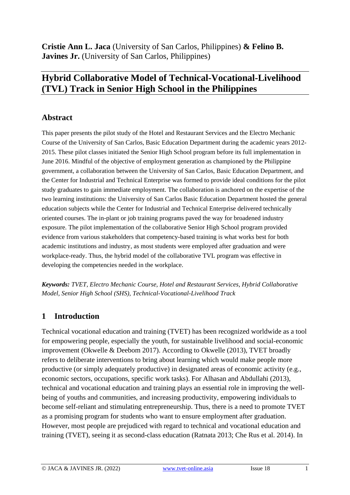**Cristie Ann L. Jaca** (University of San Carlos, Philippines) **& Felino B. Javines Jr.** (University of San Carlos, Philippines)

# **Hybrid Collaborative Model of Technical-Vocational-Livelihood (TVL) Track in Senior High School in the Philippines**

## **Abstract**

This paper presents the pilot study of the Hotel and Restaurant Services and the Electro Mechanic Course of the University of San Carlos, Basic Education Department during the academic years 2012- 2015. These pilot classes initiated the Senior High School program before its full implementation in June 2016. Mindful of the objective of employment generation as championed by the Philippine government, a collaboration between the University of San Carlos, Basic Education Department, and the Center for Industrial and Technical Enterprise was formed to provide ideal conditions for the pilot study graduates to gain immediate employment. The collaboration is anchored on the expertise of the two learning institutions: the University of San Carlos Basic Education Department hosted the general education subjects while the Center for Industrial and Technical Enterprise delivered technically oriented courses. The in-plant or job training programs paved the way for broadened industry exposure. The pilot implementation of the collaborative Senior High School program provided evidence from various stakeholders that competency-based training is what works best for both academic institutions and industry, as most students were employed after graduation and were workplace-ready. Thus, the hybrid model of the collaborative TVL program was effective in developing the competencies needed in the workplace.

*Keywords: TVET, Electro Mechanic Course, Hotel and Restaurant Services, Hybrid Collaborative Model, Senior High School (SHS), Technical-Vocational-Livelihood Track*

# **1 Introduction**

Technical vocational education and training (TVET) has been recognized worldwide as a tool for empowering people, especially the youth, for sustainable livelihood and social-economic improvement (Okwelle & Deebom 2017). According to Okwelle (2013), TVET broadly refers to deliberate interventions to bring about learning which would make people more productive (or simply adequately productive) in designated areas of economic activity (e.g., economic sectors, occupations, specific work tasks). For Alhasan and Abdullahi (2013), technical and vocational education and training plays an essential role in improving the wellbeing of youths and communities, and increasing productivity, empowering individuals to become self-reliant and stimulating entrepreneurship. Thus, there is a need to promote TVET as a promising program for students who want to ensure employment after graduation. However, most people are prejudiced with regard to technical and vocational education and training (TVET), seeing it as second-class education (Ratnata 2013; Che Rus et al. 2014). In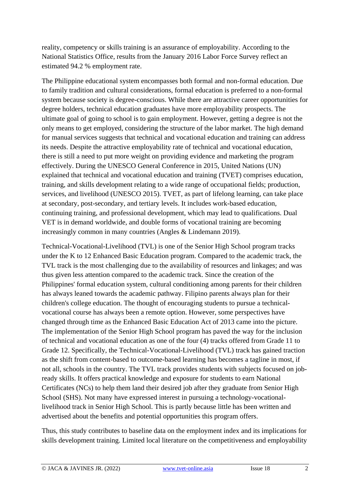reality, competency or skills training is an assurance of employability. According to the National Statistics Office, results from the January 2016 Labor Force Survey reflect an estimated 94.2 % employment rate.

The Philippine educational system encompasses both formal and non-formal education. Due to family tradition and cultural considerations, formal education is preferred to a non-formal system because society is degree-conscious. While there are attractive career opportunities for degree holders, technical education graduates have more employability prospects. The ultimate goal of going to school is to gain employment. However, getting a degree is not the only means to get employed, considering the structure of the labor market. The high demand for manual services suggests that technical and vocational education and training can address its needs. Despite the attractive employability rate of technical and vocational education, there is still a need to put more weight on providing evidence and marketing the program effectively. During the UNESCO General Conference in 2015, United Nations (UN) explained that technical and vocational education and training (TVET) comprises education, training, and skills development relating to a wide range of occupational fields; production, services, and livelihood (UNESCO 2015). TVET, as part of lifelong learning, can take place at secondary, post-secondary, and tertiary levels. It includes work-based education, continuing training, and professional development, which may lead to qualifications. Dual VET is in demand worldwide, and double forms of vocational training are becoming increasingly common in many countries (Angles & Lindemann 2019).

Technical-Vocational-Livelihood (TVL) is one of the Senior High School program tracks under the K to 12 Enhanced Basic Education program. Compared to the academic track, the TVL track is the most challenging due to the availability of resources and linkages; and was thus given less attention compared to the academic track. Since the creation of the Philippines' formal education system, cultural conditioning among parents for their children has always leaned towards the academic pathway. Filipino parents always plan for their children's college education. The thought of encouraging students to pursue a technicalvocational course has always been a remote option. However, some perspectives have changed through time as the Enhanced Basic Education Act of 2013 came into the picture. The implementation of the Senior High School program has paved the way for the inclusion of technical and vocational education as one of the four (4) tracks offered from Grade 11 to Grade 12. Specifically, the Technical-Vocational-Livelihood (TVL) track has gained traction as the shift from content-based to outcome-based learning has becomes a tagline in most, if not all, schools in the country. The TVL track provides students with subjects focused on jobready skills. It offers practical knowledge and exposure for students to earn National Certificates (NCs) to help them land their desired job after they graduate from Senior High School (SHS). Not many have expressed interest in pursuing a technology-vocationallivelihood track in Senior High School. This is partly because little has been written and advertised about the benefits and potential opportunities this program offers.

Thus, this study contributes to baseline data on the employment index and its implications for skills development training. Limited local literature on the competitiveness and employability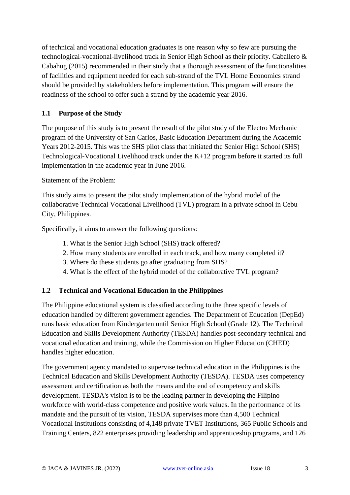of technical and vocational education graduates is one reason why so few are pursuing the technological-vocational-livelihood track in Senior High School as their priority. Caballero & Cabahug (2015) recommended in their study that a thorough assessment of the functionalities of facilities and equipment needed for each sub-strand of the TVL Home Economics strand should be provided by stakeholders before implementation. This program will ensure the readiness of the school to offer such a strand by the academic year 2016.

#### **1.1 Purpose of the Study**

The purpose of this study is to present the result of the pilot study of the Electro Mechanic program of the University of San Carlos, Basic Education Department during the Academic Years 2012-2015. This was the SHS pilot class that initiated the Senior High School (SHS) Technological-Vocational Livelihood track under the K+12 program before it started its full implementation in the academic year in June 2016.

#### Statement of the Problem:

This study aims to present the pilot study implementation of the hybrid model of the collaborative Technical Vocational Livelihood (TVL) program in a private school in Cebu City, Philippines.

Specifically, it aims to answer the following questions:

- 1. What is the Senior High School (SHS) track offered?
- 2. How many students are enrolled in each track, and how many completed it?
- 3. Where do these students go after graduating from SHS?
- 4. What is the effect of the hybrid model of the collaborative TVL program?

#### **1.2 Technical and Vocational Education in the Philippines**

The Philippine educational system is classified according to the three specific levels of education handled by different government agencies. The Department of Education (DepEd) runs basic education from Kindergarten until Senior High School (Grade 12). The Technical Education and Skills Development Authority (TESDA) handles post-secondary technical and vocational education and training, while the Commission on Higher Education (CHED) handles higher education.

The government agency mandated to supervise technical education in the Philippines is the Technical Education and Skills Development Authority (TESDA). TESDA uses competency assessment and certification as both the means and the end of competency and skills development. TESDA's vision is to be the leading partner in developing the Filipino workforce with world-class competence and positive work values. In the performance of its mandate and the pursuit of its vision, TESDA supervises more than 4,500 Technical Vocational Institutions consisting of 4,148 private TVET Institutions, 365 Public Schools and Training Centers, 822 enterprises providing leadership and apprenticeship programs, and 126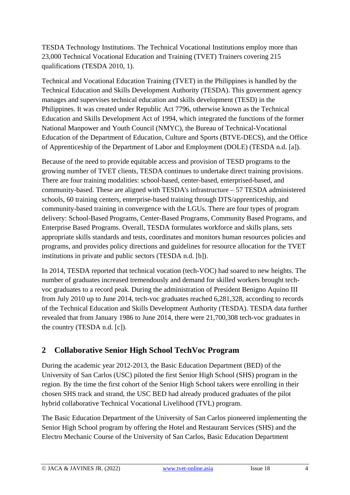TESDA Technology Institutions. The Technical Vocational Institutions employ more than 23,000 Technical Vocational Education and Training (TVET) Trainers covering 215 qualifications (TESDA 2010, 1).

Technical and Vocational Education Training (TVET) in the Philippines is handled by the Technical Education and Skills Development Authority (TESDA). This government agency manages and supervises technical education and skills development (TESD) in the Philippines. It was created under Republic Act 7796, otherwise known as the Technical Education and Skills Development Act of 1994, which integrated the functions of the former National Manpower and Youth Council (NMYC), the Bureau of Technical-Vocational Education of the Department of Education, Culture and Sports (BTVE-DECS), and the Office of Apprenticeship of the Department of Labor and Employment (DOLE) (TESDA n.d. [a]).

Because of the need to provide equitable access and provision of TESD programs to the growing number of TVET clients, TESDA continues to undertake direct training provisions. There are four training modalities: school-based, center-based, enterprised-based, and community-based. These are aligned with TESDA's infrastructure – 57 TESDA administered schools, 60 training centers, enterprise-based training through DTS/apprenticeship, and community-based training in convergence with the LGUs. There are four types of program delivery: School-Based Programs, Center-Based Programs, Community Based Programs, and Enterprise Based Programs. Overall, TESDA formulates workforce and skills plans, sets appropriate skills standards and tests, coordinates and monitors human resources policies and programs, and provides policy directions and guidelines for resource allocation for the TVET institutions in private and public sectors (TESDA n.d. [b]).

In 2014, TESDA reported that technical vocation (tech-VOC) had soared to new heights. The number of graduates increased tremendously and demand for skilled workers brought techvoc graduates to a record peak. During the administration of President Benigno Aquino III from July 2010 up to June 2014, tech-voc graduates reached 6,281,328, according to records of the Technical Education and Skills Development Authority (TESDA). TESDA data further revealed that from January 1986 to June 2014, there were 21,700,308 tech-voc graduates in the country (TESDA n.d. [c]).

# **2 Collaborative Senior High School TechVoc Program**

During the academic year 2012-2013, the Basic Education Department (BED) of the University of San Carlos (USC) piloted the first Senior High School (SHS) program in the region. By the time the first cohort of the Senior High School takers were enrolling in their chosen SHS track and strand, the USC BED had already produced graduates of the pilot hybrid collaborative Technical Vocational Livelihood (TVL) program.

The Basic Education Department of the University of San Carlos pioneered implementing the Senior High School program by offering the Hotel and Restaurant Services (SHS) and the Electro Mechanic Course of the University of San Carlos, Basic Education Department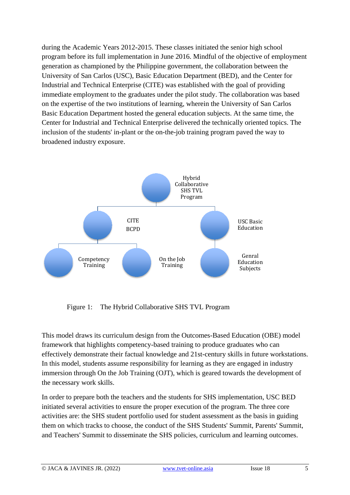during the Academic Years 2012-2015. These classes initiated the senior high school program before its full implementation in June 2016. Mindful of the objective of employment generation as championed by the Philippine government, the collaboration between the University of San Carlos (USC), Basic Education Department (BED), and the Center for Industrial and Technical Enterprise (CITE) was established with the goal of providing immediate employment to the graduates under the pilot study. The collaboration was based on the expertise of the two institutions of learning, wherein the University of San Carlos Basic Education Department hosted the general education subjects. At the same time, the Center for Industrial and Technical Enterprise delivered the technically oriented topics. The inclusion of the students' in-plant or the on-the-job training program paved the way to broadened industry exposure.



Figure 1: The Hybrid Collaborative SHS TVL Program

This model draws its curriculum design from the Outcomes-Based Education (OBE) model framework that highlights competency-based training to produce graduates who can effectively demonstrate their factual knowledge and 21st-century skills in future workstations. In this model, students assume responsibility for learning as they are engaged in industry immersion through On the Job Training (OJT), which is geared towards the development of the necessary work skills.

In order to prepare both the teachers and the students for SHS implementation, USC BED initiated several activities to ensure the proper execution of the program. The three core activities are: the SHS student portfolio used for student assessment as the basis in guiding them on which tracks to choose, the conduct of the SHS Students' Summit, Parents' Summit, and Teachers' Summit to disseminate the SHS policies, curriculum and learning outcomes.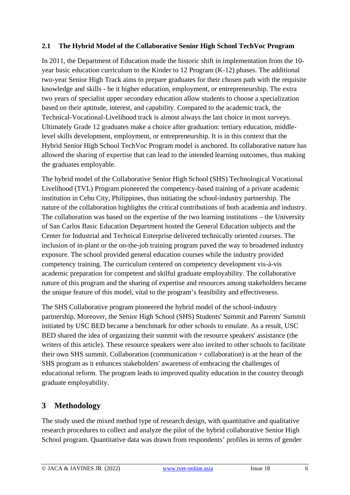#### **2.1 The Hybrid Model of the Collaborative Senior High School TechVoc Program**

In 2011, the Department of Education made the historic shift in implementation from the 10 year basic education curriculum to the Kinder to 12 Program (K-12) phases. The additional two-year Senior High Track aims to prepare graduates for their chosen path with the requisite knowledge and skills - be it higher education, employment, or entrepreneurship. The extra two years of specialist upper secondary education allow students to choose a specialization based on their aptitude, interest, and capability. Compared to the academic track, the Technical-Vocational-Livelihood track is almost always the last choice in most surveys. Ultimately Grade 12 graduates make a choice after graduation: tertiary education, middlelevel skills development, employment, or entrepreneurship. It is in this context that the Hybrid Senior High School TechVoc Program model is anchored. Its collaborative nature has allowed the sharing of expertise that can lead to the intended learning outcomes, thus making the graduates employable.

The hybrid model of the Collaborative Senior High School (SHS) Technological Vocational Livelihood (TVL) Program pioneered the competency-based training of a private academic institution in Cebu City, Philippines, thus initiating the school-industry partnership. The nature of the collaboration highlights the critical contributions of both academia and industry. The collaboration was based on the expertise of the two learning institutions – the University of San Carlos Basic Education Department hosted the General Education subjects and the Center for Industrial and Technical Enterprise delivered technically oriented courses. The inclusion of in-plant or the on-the-job training program paved the way to broadened industry exposure. The school provided general education courses while the industry provided competency training. The curriculum centered on competency development vis-à-vis academic preparation for competent and skilful graduate employability. The collaborative nature of this program and the sharing of expertise and resources among stakeholders became the unique feature of this model, vital to the program's feasibility and effectiveness.

The SHS Collaborative program pioneered the hybrid model of the school-industry partnership. Moreover, the Senior High School (SHS) Students' Summit and Parents' Summit initiated by USC BED became a benchmark for other schools to emulate. As a result, USC BED shared the idea of organizing their summit with the resource speakers' assistance (the writers of this article). These resource speakers were also invited to other schools to facilitate their own SHS summit. Collaboration (communication + collaboration) is at the heart of the SHS program as it enhances stakeholders' awareness of embracing the challenges of educational reform. The program leads to improved quality education in the country through graduate employability.

# **3 Methodology**

The study used the mixed method type of research design, with quantitative and qualitative research procedures to collect and analyze the pilot of the hybrid collaborative Senior High School program. Quantitative data was drawn from respondents' profiles in terms of gender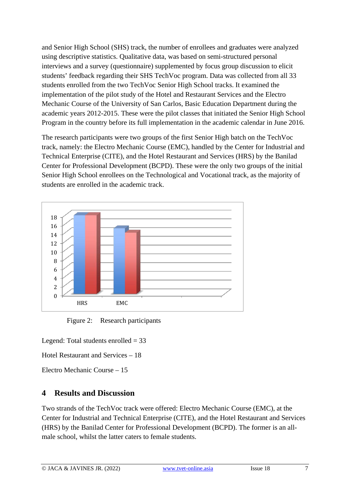and Senior High School (SHS) track, the number of enrollees and graduates were analyzed using descriptive statistics. Qualitative data, was based on semi-structured personal interviews and a survey (questionnaire) supplemented by focus group discussion to elicit students' feedback regarding their SHS TechVoc program. Data was collected from all 33 students enrolled from the two TechVoc Senior High School tracks. It examined the implementation of the pilot study of the Hotel and Restaurant Services and the Electro Mechanic Course of the University of San Carlos, Basic Education Department during the academic years 2012-2015. These were the pilot classes that initiated the Senior High School Program in the country before its full implementation in the academic calendar in June 2016.

The research participants were two groups of the first Senior High batch on the TechVoc track, namely: the Electro Mechanic Course (EMC), handled by the Center for Industrial and Technical Enterprise (CITE), and the Hotel Restaurant and Services (HRS) by the Banilad Center for Professional Development (BCPD). These were the only two groups of the initial Senior High School enrollees on the Technological and Vocational track, as the majority of students are enrolled in the academic track.



Figure 2: Research participants

Legend: Total students enrolled  $= 33$ 

Hotel Restaurant and Services – 18

Electro Mechanic Course – 15

# **4 Results and Discussion**

Two strands of the TechVoc track were offered: Electro Mechanic Course (EMC), at the Center for Industrial and Technical Enterprise (CITE), and the Hotel Restaurant and Services (HRS) by the Banilad Center for Professional Development (BCPD). The former is an allmale school, whilst the latter caters to female students.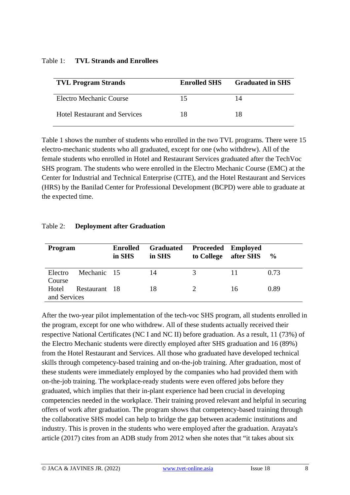#### Table 1: **TVL Strands and Enrollees**

| <b>TVL Program Strands</b>           | <b>Enrolled SHS</b> | <b>Graduated in SHS</b> |
|--------------------------------------|---------------------|-------------------------|
| Electro Mechanic Course              | 15                  | 14                      |
| <b>Hotel Restaurant and Services</b> | 18                  | 18                      |

Table 1 shows the number of students who enrolled in the two TVL programs. There were 15 electro-mechanic students who all graduated, except for one (who withdrew). All of the female students who enrolled in Hotel and Restaurant Services graduated after the TechVoc SHS program. The students who were enrolled in the Electro Mechanic Course (EMC) at the Center for Industrial and Technical Enterprise (CITE), and the Hotel Restaurant and Services (HRS) by the Banilad Center for Professional Development (BCPD) were able to graduate at the expected time.

#### Table 2: **Deployment after Graduation**

| Program      |               | <b>Enrolled</b><br>in SHS | <b>Graduated</b><br>in SHS | <b>Proceeded Employed</b><br>to College | after SHS | $\frac{6}{9}$ |
|--------------|---------------|---------------------------|----------------------------|-----------------------------------------|-----------|---------------|
| Electro      | Mechanic 15   |                           | 14                         | $\mathcal{R}$                           |           | 0.73          |
| Course       |               |                           |                            |                                         |           |               |
| Hotel        | Restaurant 18 |                           | 18                         |                                         | 16        | 0.89          |
| and Services |               |                           |                            |                                         |           |               |

After the two-year pilot implementation of the tech-voc SHS program, all students enrolled in the program, except for one who withdrew. All of these students actually received their respective National Certificates (NC I and NC II) before graduation. As a result, 11 (73%) of the Electro Mechanic students were directly employed after SHS graduation and 16 (89%) from the Hotel Restaurant and Services. All those who graduated have developed technical skills through competency-based training and on-the-job training. After graduation, most of these students were immediately employed by the companies who had provided them with on-the-job training. The workplace-ready students were even offered jobs before they graduated, which implies that their in-plant experience had been crucial in developing competencies needed in the workplace. Their training proved relevant and helpful in securing offers of work after graduation. The program shows that competency-based training through the collaborative SHS model can help to bridge the gap between academic institutions and industry. This is proven in the students who were employed after the graduation. Arayata's article (2017) cites from an ADB study from 2012 when she notes that "it takes about six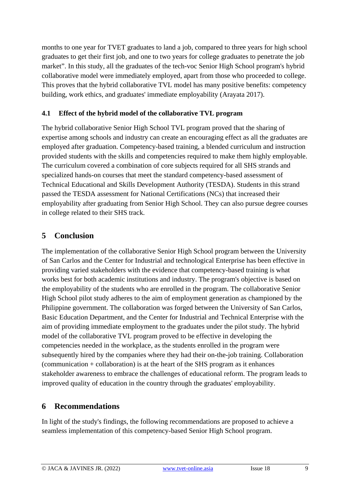months to one year for TVET graduates to land a job, compared to three years for high school graduates to get their first job, and one to two years for college graduates to penetrate the job market". In this study, all the graduates of the tech-voc Senior High School program's hybrid collaborative model were immediately employed, apart from those who proceeded to college. This proves that the hybrid collaborative TVL model has many positive benefits: competency building, work ethics, and graduates' immediate employability (Arayata 2017).

#### **4.1 Effect of the hybrid model of the collaborative TVL program**

The hybrid collaborative Senior High School TVL program proved that the sharing of expertise among schools and industry can create an encouraging effect as all the graduates are employed after graduation. Competency-based training, a blended curriculum and instruction provided students with the skills and competencies required to make them highly employable. The curriculum covered a combination of core subjects required for all SHS strands and specialized hands-on courses that meet the standard competency-based assessment of Technical Educational and Skills Development Authority (TESDA). Students in this strand passed the TESDA assessment for National Certifications (NCs) that increased their employability after graduating from Senior High School. They can also pursue degree courses in college related to their SHS track.

# **5 Conclusion**

The implementation of the collaborative Senior High School program between the University of San Carlos and the Center for Industrial and technological Enterprise has been effective in providing varied stakeholders with the evidence that competency-based training is what works best for both academic institutions and industry. The program's objective is based on the employability of the students who are enrolled in the program. The collaborative Senior High School pilot study adheres to the aim of employment generation as championed by the Philippine government. The collaboration was forged between the University of San Carlos, Basic Education Department, and the Center for Industrial and Technical Enterprise with the aim of providing immediate employment to the graduates under the pilot study. The hybrid model of the collaborative TVL program proved to be effective in developing the competencies needed in the workplace, as the students enrolled in the program were subsequently hired by the companies where they had their on-the-job training. Collaboration (communication + collaboration) is at the heart of the SHS program as it enhances stakeholder awareness to embrace the challenges of educational reform. The program leads to improved quality of education in the country through the graduates' employability.

# **6 Recommendations**

In light of the study's findings, the following recommendations are proposed to achieve a seamless implementation of this competency-based Senior High School program.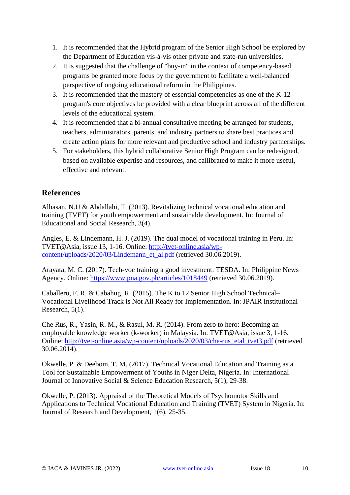- 1. It is recommended that the Hybrid program of the Senior High School be explored by the Department of Education vis-à-vis other private and state-run universities.
- 2. It is suggested that the challenge of "buy-in" in the context of competency-based programs be granted more focus by the government to facilitate a well-balanced perspective of ongoing educational reform in the Philippines.
- 3. It is recommended that the mastery of essential competencies as one of the K-12 program's core objectives be provided with a clear blueprint across all of the different levels of the educational system.
- 4. It is recommended that a bi-annual consultative meeting be arranged for students, teachers, administrators, parents, and industry partners to share best practices and create action plans for more relevant and productive school and industry partnerships.
- 5. For stakeholders, this hybrid collaborative Senior High Program can be redesigned, based on available expertise and resources, and callibrated to make it more useful, effective and relevant.

## **References**

Alhasan, N.U & Abdallahi, T. (2013). Revitalizing technical vocational education and training (TVET) for youth empowerment and sustainable development. In: Journal of Educational and Social Research, 3(4).

Angles, E. & Lindemann, H. J. (2019). The dual model of vocational training in Peru. In: TVET@Asia, issue 13, 1-16. Online: [http://tvet-online.asia/wp](http://tvet-online.asia/wp-content/uploads/2020/03/Lindemann_et_al.pdf)[content/uploads/2020/03/Lindemann\\_et\\_al.pdf](http://tvet-online.asia/wp-content/uploads/2020/03/Lindemann_et_al.pdf) (retrieved 30.06.2019).

Arayata, M. C. (2017). Tech-voc training a good investment: TESDA. In: Philippine News Agency. Online:<https://www.pna.gov.ph/articles/1018449> (retrieved 30.06.2019).

Caballero, F. R. & Cabahug, R. (2015). The K to 12 Senior High School Technical– Vocational Livelihood Track is Not All Ready for Implementation. In: JPAIR Institutional Research, 5(1).

Che Rus, R., Yasin, R. M., & Rasul, M. R. (2014). From zero to hero: Becoming an employable knowledge worker (k-worker) in Malaysia. In: TVET@Asia, issue 3, 1-16. Online: [http://tvet-online.asia/wp-content/uploads/2020/03/che-rus\\_etal\\_tvet3.pdf](http://tvet-online.asia/wp-content/uploads/2020/03/che-rus_etal_tvet3.pdf) (retrieved 30.06.2014).

Okwelle, P. & Deebom, T. M. (2017). Technical Vocational Education and Training as a Tool for Sustainable Empowerment of Youths in Niger Delta, Nigeria. In: International Journal of Innovative Social & Science Education Research, 5(1), 29-38.

Okwelle, P. (2013). Appraisal of the Theoretical Models of Psychomotor Skills and Applications to Technical Vocational Education and Training (TVET) System in Nigeria. In: Journal of Research and Development, 1(6), 25-35.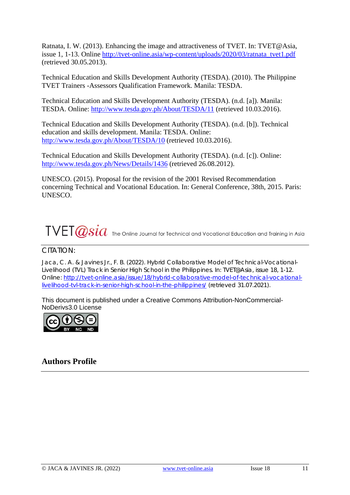Ratnata, I. W. (2013). Enhancing the image and attractiveness of TVET. In: TVET@Asia, issue 1, 1-13. Online [http://tvet-online.asia/wp-content/uploads/2020/03/ratnata\\_tvet1.pdf](http://tvet-online.asia/wp-content/uploads/2020/03/ratnata_tvet1.pdf) (retrieved 30.05.2013).

Technical Education and Skills Development Authority (TESDA). (2010). The Philippine TVET Trainers -Assessors Qualification Framework. Manila: TESDA.

Technical Education and Skills Development Authority (TESDA). (n.d. [a]). Manila: TESDA. Online:<http://www.tesda.gov.ph/About/TESDA/11> (retrieved 10.03.2016).

Technical Education and Skills Development Authority (TESDA). (n.d. [b]). Technical education and skills development. Manila: TESDA. Online: <http://www.tesda.gov.ph/About/TESDA/10> (retrieved 10.03.2016).

Technical Education and Skills Development Authority (TESDA). (n.d. [c]). Online: <http://www.tesda.gov.ph/News/Details/1436> (retrieved 26.08.2012).

UNESCO. (2015). Proposal for the revision of the 2001 Revised Recommendation concerning Technical and Vocational Education. In: General Conference, 38th, 2015. Paris: UNESCO.

# $\text{TVET}\textcolor{red}{\textcolor{red}{\mathscr{A}}\textcolor{red}{sid}}$  The Online Journal for Technical and Vocational Education and Training in Asia

#### CITATION:

Jaca, C. A. & Javines Jr., F. B. (2022). Hybrid Collaborative Model of Technical-Vocational-Livelihood (TVL) Track in Senior High School in the Philippines. In: TVET@Asia, issue 18, 1-12. Online: [http://tvet-online.asia/issue/18/hybrid-collaborative-model-of-technical-vocational](http://tvet-online.asia/issue/18/hybrid-collaborative-model-of-technical-vocational-livelihood-tvl-track-in-senior-high-school-in-the-philippines/)[livelihood-tvl-track-in-senior-high-school-in-the-philippines/](http://tvet-online.asia/issue/18/hybrid-collaborative-model-of-technical-vocational-livelihood-tvl-track-in-senior-high-school-in-the-philippines/) (retrieved 31.07.2021).

This document is published under a Creative Commons Attribution-NonCommercial-NoDerivs3.0 License



# **Authors Profile**